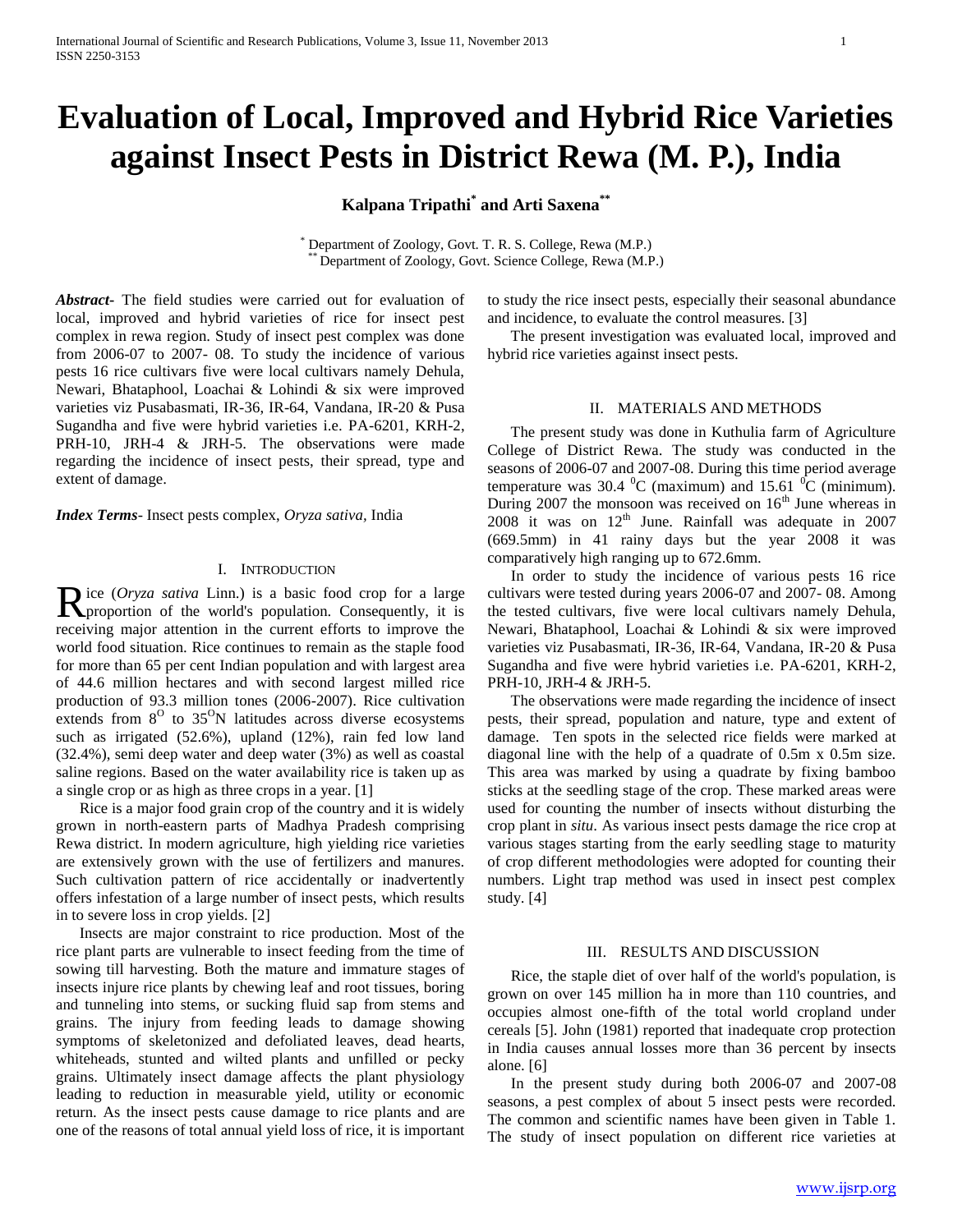# **Evaluation of Local, Improved and Hybrid Rice Varieties against Insect Pests in District Rewa (M. P.), India**

**Kalpana Tripathi\* and Arti Saxena\*\***

Department of Zoology, Govt. T. R. S. College, Rewa (M.P.) Department of Zoology, Govt. Science College, Rewa (M.P.)

*Abstract***-** The field studies were carried out for evaluation of local, improved and hybrid varieties of rice for insect pest complex in rewa region. Study of insect pest complex was done from 2006-07 to 2007- 08. To study the incidence of various pests 16 rice cultivars five were local cultivars namely Dehula, Newari, Bhataphool, Loachai & Lohindi & six were improved varieties viz Pusabasmati, IR-36, IR-64, Vandana, IR-20 & Pusa Sugandha and five were hybrid varieties i.e. PA-6201, KRH-2, PRH-10, JRH-4 & JRH-5. The observations were made regarding the incidence of insect pests, their spread, type and extent of damage.

*Index Terms*- Insect pests complex, *Oryza sativa,* India

# I. INTRODUCTION

ice (*Oryza sativa* Linn.) is a basic food crop for a large Rice (Oryza sativa Linn.) is a basic food crop for a large proportion of the world's population. Consequently, it is receiving major attention in the current efforts to improve the world food situation. Rice continues to remain as the staple food for more than 65 per cent Indian population and with largest area of 44.6 million hectares and with second largest milled rice production of 93.3 million tones (2006-2007). Rice cultivation extends from  $8^{\circ}$  to  $35^{\circ}$ N latitudes across diverse ecosystems such as irrigated (52.6%), upland (12%), rain fed low land (32.4%), semi deep water and deep water (3%) as well as coastal saline regions. Based on the water availability rice is taken up as a single crop or as high as three crops in a year. [1]

 Rice is a major food grain crop of the country and it is widely grown in north-eastern parts of Madhya Pradesh comprising Rewa district. In modern agriculture, high yielding rice varieties are extensively grown with the use of fertilizers and manures. Such cultivation pattern of rice accidentally or inadvertently offers infestation of a large number of insect pests, which results in to severe loss in crop yields. [2]

 Insects are major constraint to rice production. Most of the rice plant parts are vulnerable to insect feeding from the time of sowing till harvesting. Both the mature and immature stages of insects injure rice plants by chewing leaf and root tissues, boring and tunneling into stems, or sucking fluid sap from stems and grains. The injury from feeding leads to damage showing symptoms of skeletonized and defoliated leaves, dead hearts, whiteheads, stunted and wilted plants and unfilled or pecky grains. Ultimately insect damage affects the plant physiology leading to reduction in measurable yield, utility or economic return. As the insect pests cause damage to rice plants and are one of the reasons of total annual yield loss of rice, it is important

to study the rice insect pests, especially their seasonal abundance and incidence, to evaluate the control measures. [3]

 The present investigation was evaluated local, improved and hybrid rice varieties against insect pests.

## II. MATERIALS AND METHODS

 The present study was done in Kuthulia farm of Agriculture College of District Rewa. The study was conducted in the seasons of 2006-07 and 2007-08. During this time period average temperature was 30.4  $^0C$  (maximum) and 15.61  $^0C$  (minimum). During 2007 the monsoon was received on  $16<sup>th</sup>$  June whereas in  $2008$  it was on  $12<sup>th</sup>$  June. Rainfall was adequate in  $2007$ (669.5mm) in 41 rainy days but the year 2008 it was comparatively high ranging up to 672.6mm.

 In order to study the incidence of various pests 16 rice cultivars were tested during years 2006-07 and 2007- 08. Among the tested cultivars, five were local cultivars namely Dehula, Newari, Bhataphool, Loachai & Lohindi & six were improved varieties viz Pusabasmati, IR-36, IR-64, Vandana, IR-20 & Pusa Sugandha and five were hybrid varieties i.e. PA-6201, KRH-2, PRH-10, JRH-4 & JRH-5.

 The observations were made regarding the incidence of insect pests, their spread, population and nature, type and extent of damage. Ten spots in the selected rice fields were marked at diagonal line with the help of a quadrate of 0.5m x 0.5m size. This area was marked by using a quadrate by fixing bamboo sticks at the seedling stage of the crop. These marked areas were used for counting the number of insects without disturbing the crop plant in *situ*. As various insect pests damage the rice crop at various stages starting from the early seedling stage to maturity of crop different methodologies were adopted for counting their numbers. Light trap method was used in insect pest complex study. [4]

## III. RESULTS AND DISCUSSION

 Rice, the staple diet of over half of the world's population, is grown on over 145 million ha in more than 110 countries, and occupies almost one-fifth of the total world cropland under cereals [5]. John (1981) reported that inadequate crop protection in India causes annual losses more than 36 percent by insects alone. [6]

 In the present study during both 2006-07 and 2007-08 seasons, a pest complex of about 5 insect pests were recorded. The common and scientific names have been given in Table 1. The study of insect population on different rice varieties at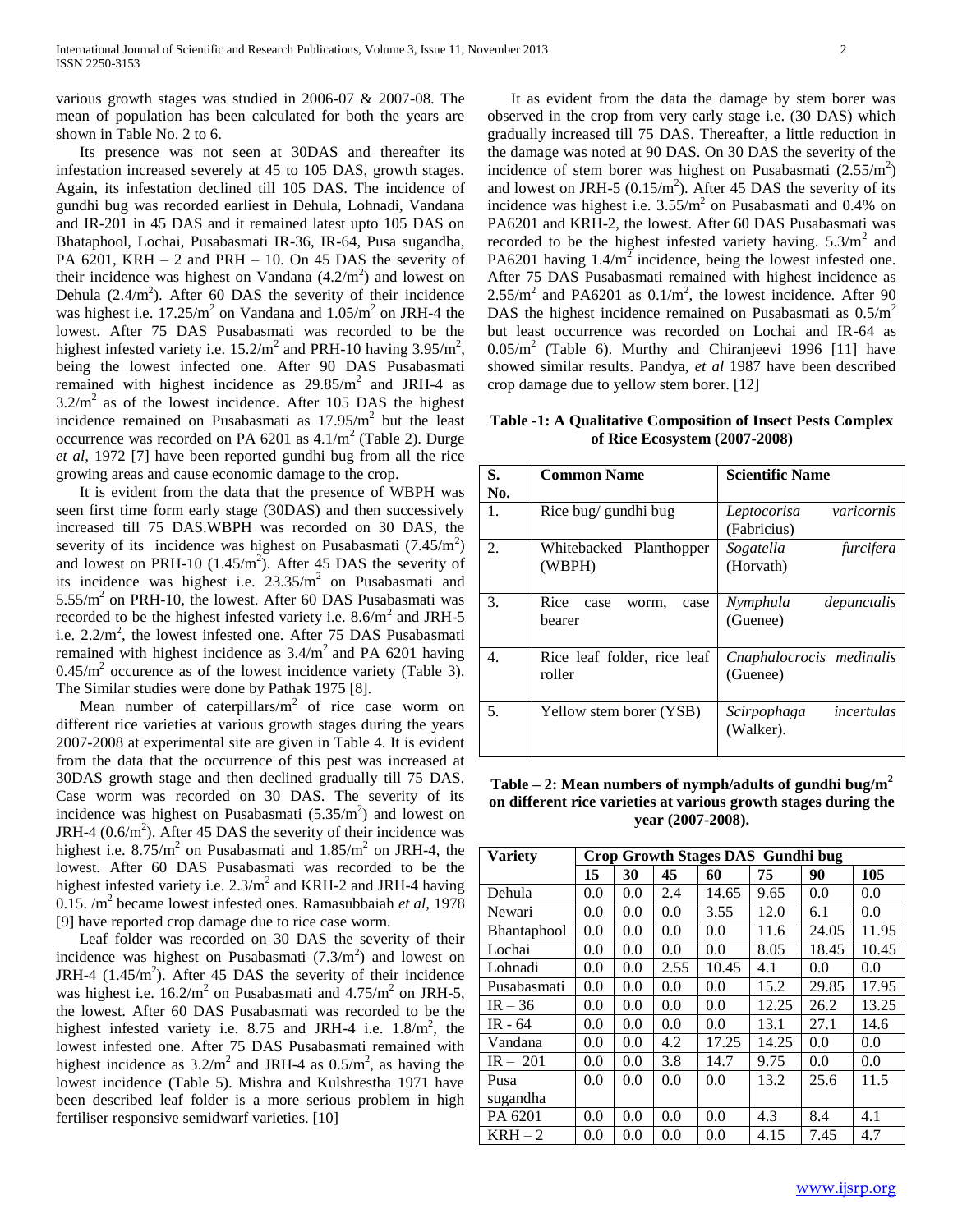various growth stages was studied in 2006-07 & 2007-08. The mean of population has been calculated for both the years are shown in Table No. 2 to 6.

 Its presence was not seen at 30DAS and thereafter its infestation increased severely at 45 to 105 DAS, growth stages. Again, its infestation declined till 105 DAS. The incidence of gundhi bug was recorded earliest in Dehula, Lohnadi, Vandana and IR-201 in 45 DAS and it remained latest upto 105 DAS on Bhataphool, Lochai, Pusabasmati IR-36, IR-64, Pusa sugandha, PA  $6201$ , KRH  $-2$  and PRH  $-10$ . On 45 DAS the severity of their incidence was highest on Vandana  $(4.2/m<sup>2</sup>)$  and lowest on Dehula  $(2.4/m<sup>2</sup>)$ . After 60 DAS the severity of their incidence was highest i.e.  $17.25/m^2$  on Vandana and  $1.05/m^2$  on JRH-4 the lowest. After 75 DAS Pusabasmati was recorded to be the highest infested variety i.e.  $15.2/m^2$  and PRH-10 having  $3.95/m^2$ , being the lowest infected one. After 90 DAS Pusabasmati remained with highest incidence as  $29.85/m^2$  and JRH-4 as  $3.2/m<sup>2</sup>$  as of the lowest incidence. After 105 DAS the highest incidence remained on Pusabasmati as  $17.95/m<sup>2</sup>$  but the least occurrence was recorded on PA  $6201$  as  $4.1/m<sup>2</sup>$  (Table 2). Durge *et al,* 1972 [7] have been reported gundhi bug from all the rice growing areas and cause economic damage to the crop.

 It is evident from the data that the presence of WBPH was seen first time form early stage (30DAS) and then successively increased till 75 DAS.WBPH was recorded on 30 DAS, the severity of its incidence was highest on Pusabasmati  $(7.45/m^2)$ and lowest on PRH-10  $(1.45/m^2)$ . After 45 DAS the severity of its incidence was highest i.e.  $23.35/m<sup>2</sup>$  on Pusabasmati and 5.55/m<sup>2</sup> on PRH-10, the lowest. After 60 DAS Pusabasmati was recorded to be the highest infested variety i.e.  $8.6/m^2$  and JRH-5 i.e.  $2.2/m^2$ , the lowest infested one. After 75 DAS Pusabasmati remained with highest incidence as  $3.4/m^2$  and PA 6201 having  $0.45/m<sup>2</sup>$  occurence as of the lowest incidence variety (Table 3). The Similar studies were done by Pathak 1975 [8].

Mean number of caterpillars/ $m<sup>2</sup>$  of rice case worm on different rice varieties at various growth stages during the years 2007-2008 at experimental site are given in Table 4. It is evident from the data that the occurrence of this pest was increased at 30DAS growth stage and then declined gradually till 75 DAS. Case worm was recorded on 30 DAS. The severity of its incidence was highest on Pusabasmati  $(5.35/m<sup>2</sup>)$  and lowest on JRH-4  $(0.6/m<sup>2</sup>)$ . After 45 DAS the severity of their incidence was highest i.e.  $8.75/m^2$  on Pusabasmati and  $1.85/m^2$  on JRH-4, the lowest. After 60 DAS Pusabasmati was recorded to be the highest infested variety i.e.  $2.3/m^2$  and KRH-2 and JRH-4 having 0.15. /m<sup>2</sup> became lowest infested ones. Ramasubbaiah *et al,* 1978 [9] have reported crop damage due to rice case worm.

 Leaf folder was recorded on 30 DAS the severity of their incidence was highest on Pusabasmati  $(7.3/m<sup>2</sup>)$  and lowest on JRH-4  $(1.45/m^2)$ . After 45 DAS the severity of their incidence was highest i.e.  $16.2/m^2$  on Pusabasmati and  $4.75/m^2$  on JRH-5, the lowest. After 60 DAS Pusabasmati was recorded to be the highest infested variety i.e. 8.75 and JRH-4 i.e.  $1.8/m^2$ , the lowest infested one. After 75 DAS Pusabasmati remained with highest incidence as  $3.2/m^2$  and JRH-4 as  $0.5/m^2$ , as having the lowest incidence (Table 5). Mishra and Kulshrestha 1971 have been described leaf folder is a more serious problem in high fertiliser responsive semidwarf varieties. [10]

 It as evident from the data the damage by stem borer was observed in the crop from very early stage i.e. (30 DAS) which gradually increased till 75 DAS. Thereafter, a little reduction in the damage was noted at 90 DAS. On 30 DAS the severity of the incidence of stem borer was highest on Pusabasmati  $(2.55/m^2)$ and lowest on JRH-5  $(0.15/m<sup>2</sup>)$ . After 45 DAS the severity of its incidence was highest i.e.  $3.55/m^2$  on Pusabasmati and 0.4% on PA6201 and KRH-2, the lowest. After 60 DAS Pusabasmati was recorded to be the highest infested variety having.  $5.3/m<sup>2</sup>$  and PA6201 having  $1.4/m^2$  incidence, being the lowest infested one. After 75 DAS Pusabasmati remained with highest incidence as  $2.55/m<sup>2</sup>$  and PA6201 as  $0.1/m<sup>2</sup>$ , the lowest incidence. After 90 DAS the highest incidence remained on Pusabasmati as  $0.5/m<sup>2</sup>$ but least occurrence was recorded on Lochai and IR-64 as  $0.05/m<sup>2</sup>$  (Table 6). Murthy and Chiranjeevi 1996 [11] have showed similar results. Pandya, *et al* 1987 have been described crop damage due to yellow stem borer. [12]

**Table -1: A Qualitative Composition of Insect Pests Complex of Rice Ecosystem (2007-2008)**

| S.<br>No. | <b>Common Name</b>                      | <b>Scientific Name</b>                   |
|-----------|-----------------------------------------|------------------------------------------|
| 1.        | Rice bug/ gundhi bug                    | varicornis<br>Leptocorisa<br>(Fabricius) |
| 2.        | Whitebacked Planthopper<br>(WBPH)       | Sogatella<br>furcifera<br>(Horvath)      |
| 3.        | Rice<br>case<br>case<br>worm,<br>bearer | Nymphula<br>depunctalis<br>(Guenee)      |
| 4.        | Rice leaf folder, rice leaf<br>roller   | Cnaphalocrocis medinalis<br>(Guenee)     |
| 5.        | Yellow stem borer (YSB)                 | incertulas<br>Scirpophaga<br>(Walker).   |

**Table – 2: Mean numbers of nymph/adults of gundhi bug/m<sup>2</sup> on different rice varieties at various growth stages during the year (2007-2008).**

| <b>Variety</b>     | Crop Growth Stages DAS Gundhi bug |               |      |       |       |       |       |  |
|--------------------|-----------------------------------|---------------|------|-------|-------|-------|-------|--|
|                    | 15                                | 30            | 45   | 60    | 75    | 90    | 105   |  |
| Dehula             | 0.0                               | 0.0           | 2.4  | 14.65 | 9.65  | 0.0   | 0.0   |  |
| Newari             | 0.0                               | 0.0           | 0.0  | 3.55  | 12.0  | 6.1   | 0.0   |  |
| <b>Bhantaphool</b> | 0.0                               | 0.0           | 0.0  | 0.0   | 11.6  | 24.05 | 11.95 |  |
| Lochai             | 0.0                               | 0.0           | 0.0  | 0.0   | 8.05  | 18.45 | 10.45 |  |
| Lohnadi            | 0.0                               | $0.0^{\circ}$ | 2.55 | 10.45 | 4.1   | 0.0   | 0.0   |  |
| Pusabasmati        | 0.0                               | 0.0           | 0.0  | 0.0   | 15.2  | 29.85 | 17.95 |  |
| $IR - 36$          | 0.0                               | 0.0           | 0.0  | 0.0   | 12.25 | 26.2  | 13.25 |  |
| $IR - 64$          | 0.0                               | $0.0^{\circ}$ | 0.0  | 0.0   | 13.1  | 27.1  | 14.6  |  |
| Vandana            | 0.0                               | 0.0           | 4.2  | 17.25 | 14.25 | 0.0   | 0.0   |  |
| $IR - 201$         | 0.0                               | 0.0           | 3.8  | 14.7  | 9.75  | 0.0   | 0.0   |  |
| Pusa               | 0.0                               | 0.0           | 0.0  | 0.0   | 13.2  | 25.6  | 11.5  |  |
| sugandha           |                                   |               |      |       |       |       |       |  |
| PA 6201            | 0.0                               | 0.0           | 0.0  | 0.0   | 4.3   | 8.4   | 4.1   |  |
| $KRH - 2$          | 0.0                               | 0.0           | 0.0  | 0.0   | 4.15  | 7.45  | 4.7   |  |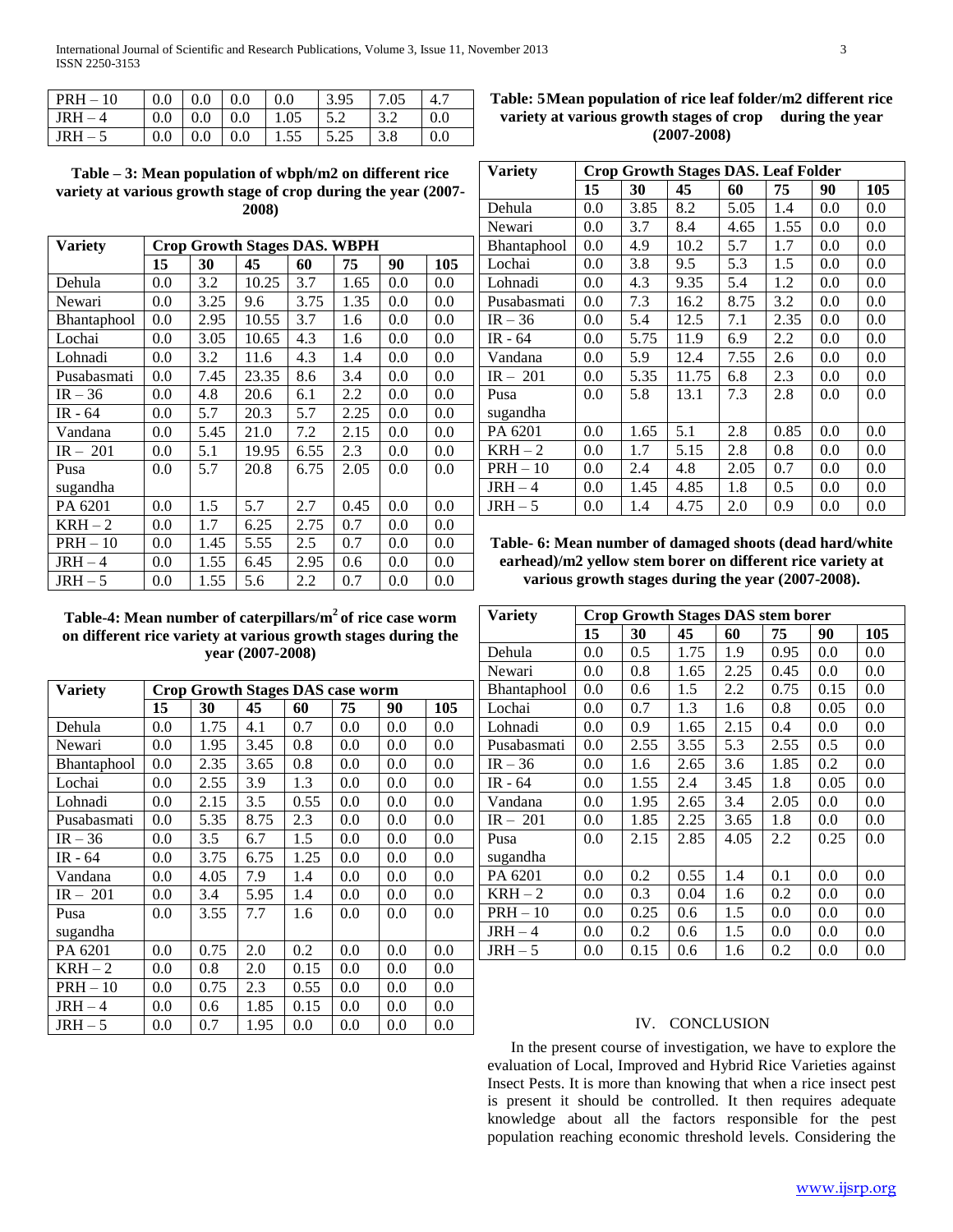| $PRH - 10$ | 0.0 | $\mid$ 0.0            | $\pm 0.0$ | $0.0\,$ | 3.95 | 7.05 |     |
|------------|-----|-----------------------|-----------|---------|------|------|-----|
| $IRH-4$    |     | $0.0 \pm 0.0 \pm 0.0$ |           | 1.05    |      |      | 0.0 |
| $IRH-5$    | 0.0 | $0.0 \pm 0.0$         |           | 1.55    |      |      |     |

**Table – 3: Mean population of wbph/m2 on different rice variety at various growth stage of crop during the year (2007- 2008)**

| Variety     | <b>Crop Growth Stages DAS. WBPH</b> |      |       |      |      |     |     |  |
|-------------|-------------------------------------|------|-------|------|------|-----|-----|--|
|             | 15                                  | 30   | 45    | 60   | 75   | 90  | 105 |  |
| Dehula      | 0.0                                 | 3.2  | 10.25 | 3.7  | 1.65 | 0.0 | 0.0 |  |
| Newari      | 0.0                                 | 3.25 | 9.6   | 3.75 | 1.35 | 0.0 | 0.0 |  |
| Bhantaphool | 0.0                                 | 2.95 | 10.55 | 3.7  | 1.6  | 0.0 | 0.0 |  |
| Lochai      | 0.0                                 | 3.05 | 10.65 | 4.3  | 1.6  | 0.0 | 0.0 |  |
| Lohnadi     | 0.0                                 | 3.2  | 11.6  | 4.3  | 1.4  | 0.0 | 0.0 |  |
| Pusabasmati | 0.0                                 | 7.45 | 23.35 | 8.6  | 3.4  | 0.0 | 0.0 |  |
| $IR - 36$   | 0.0                                 | 4.8  | 20.6  | 6.1  | 2.2  | 0.0 | 0.0 |  |
| IR - 64     | 0.0                                 | 5.7  | 20.3  | 5.7  | 2.25 | 0.0 | 0.0 |  |
| Vandana     | 0.0                                 | 5.45 | 21.0  | 7.2  | 2.15 | 0.0 | 0.0 |  |
| $IR - 201$  | 0.0                                 | 5.1  | 19.95 | 6.55 | 2.3  | 0.0 | 0.0 |  |
| Pusa        | 0.0                                 | 5.7  | 20.8  | 6.75 | 2.05 | 0.0 | 0.0 |  |
| sugandha    |                                     |      |       |      |      |     |     |  |
| PA 6201     | 0.0                                 | 1.5  | 5.7   | 2.7  | 0.45 | 0.0 | 0.0 |  |
| $KRH - 2$   | 0.0                                 | 1.7  | 6.25  | 2.75 | 0.7  | 0.0 | 0.0 |  |
| $PRH - 10$  | 0.0                                 | 1.45 | 5.55  | 2.5  | 0.7  | 0.0 | 0.0 |  |
| $JRH-4$     | 0.0                                 | 1.55 | 6.45  | 2.95 | 0.6  | 0.0 | 0.0 |  |
| $JRH - 5$   | 0.0                                 | 1.55 | 5.6   | 2.2  | 0.7  | 0.0 | 0.0 |  |

**Table-4: Mean number of caterpillars/m<sup>2</sup>of rice case worm on different rice variety at various growth stages during the year (2007-2008)**

| <b>Variety</b>     | <b>Crop Growth Stages DAS case worm</b> |      |      |      |     |     |               |  |  |
|--------------------|-----------------------------------------|------|------|------|-----|-----|---------------|--|--|
|                    | 15                                      | 30   | 45   | 60   | 75  | 90  | 105           |  |  |
| Dehula             | 0.0                                     | 1.75 | 4.1  | 0.7  | 0.0 | 0.0 | 0.0           |  |  |
| Newari             | 0.0                                     | 1.95 | 3.45 | 0.8  | 0.0 | 0.0 | 0.0           |  |  |
| <b>Bhantaphool</b> | 0.0                                     | 2.35 | 3.65 | 0.8  | 0.0 | 0.0 | $0.0^{\circ}$ |  |  |
| Lochai             | 0.0                                     | 2.55 | 3.9  | 1.3  | 0.0 | 0.0 | 0.0           |  |  |
| Lohnadi            | 0.0                                     | 2.15 | 3.5  | 0.55 | 0.0 | 0.0 | 0.0           |  |  |
| Pusabasmati        | 0.0                                     | 5.35 | 8.75 | 2.3  | 0.0 | 0.0 | 0.0           |  |  |
| $IR - 36$          | 0.0                                     | 3.5  | 6.7  | 1.5  | 0.0 | 0.0 | 0.0           |  |  |
| IR $-64$           | 0.0                                     | 3.75 | 6.75 | 1.25 | 0.0 | 0.0 | 0.0           |  |  |
| Vandana            | 0.0                                     | 4.05 | 7.9  | 1.4  | 0.0 | 0.0 | 0.0           |  |  |
| $IR - 201$         | 0.0                                     | 3.4  | 5.95 | 1.4  | 0.0 | 0.0 | 0.0           |  |  |
| Pusa               | 0.0                                     | 3.55 | 7.7  | 1.6  | 0.0 | 0.0 | 0.0           |  |  |
| sugandha           |                                         |      |      |      |     |     |               |  |  |
| PA 6201            | 0.0                                     | 0.75 | 2.0  | 0.2  | 0.0 | 0.0 | 0.0           |  |  |
| $KRH-2$            | 0.0                                     | 0.8  | 2.0  | 0.15 | 0.0 | 0.0 | 0.0           |  |  |
| $PRH - 10$         | 0.0                                     | 0.75 | 2.3  | 0.55 | 0.0 | 0.0 | 0.0           |  |  |
| $JRH-4$            | 0.0                                     | 0.6  | 1.85 | 0.15 | 0.0 | 0.0 | 0.0           |  |  |
| $JRH-5$            | 0.0                                     | 0.7  | 1.95 | 0.0  | 0.0 | 0.0 | 0.0           |  |  |

# **Table: 5Mean population of rice leaf folder/m2 different rice variety at various growth stages of crop during the year (2007-2008)**

| <b>Variety</b> | <b>Crop Growth Stages DAS. Leaf Folder</b> |      |       |      |      |     |     |  |
|----------------|--------------------------------------------|------|-------|------|------|-----|-----|--|
|                | 15                                         | 30   | 45    | 60   | 75   | 90  | 105 |  |
| Dehula         | 0.0                                        | 3.85 | 8.2   | 5.05 | 1.4  | 0.0 | 0.0 |  |
| Newari         | 0.0                                        | 3.7  | 8.4   | 4.65 | 1.55 | 0.0 | 0.0 |  |
| Bhantaphool    | 0.0                                        | 4.9  | 10.2  | 5.7  | 1.7  | 0.0 | 0.0 |  |
| Lochai         | 0.0                                        | 3.8  | 9.5   | 5.3  | 1.5  | 0.0 | 0.0 |  |
| Lohnadi        | 0.0                                        | 4.3  | 9.35  | 5.4  | 1.2  | 0.0 | 0.0 |  |
| Pusabasmati    | 0.0                                        | 7.3  | 16.2  | 8.75 | 3.2  | 0.0 | 0.0 |  |
| $IR - 36$      | 0.0                                        | 5.4  | 12.5  | 7.1  | 2.35 | 0.0 | 0.0 |  |
| IR - 64        | 0.0                                        | 5.75 | 11.9  | 6.9  | 2.2  | 0.0 | 0.0 |  |
| Vandana        | 0.0                                        | 5.9  | 12.4  | 7.55 | 2.6  | 0.0 | 0.0 |  |
| $IR - 201$     | 0.0                                        | 5.35 | 11.75 | 6.8  | 2.3  | 0.0 | 0.0 |  |
| Pusa           | 0.0                                        | 5.8  | 13.1  | 7.3  | 2.8  | 0.0 | 0.0 |  |
| sugandha       |                                            |      |       |      |      |     |     |  |
| PA 6201        | 0.0                                        | 1.65 | 5.1   | 2.8  | 0.85 | 0.0 | 0.0 |  |
| $KRH-2$        | 0.0                                        | 1.7  | 5.15  | 2.8  | 0.8  | 0.0 | 0.0 |  |
| $PRH - 10$     | 0.0                                        | 2.4  | 4.8   | 2.05 | 0.7  | 0.0 | 0.0 |  |
| $JRH-4$        | 0.0                                        | 1.45 | 4.85  | 1.8  | 0.5  | 0.0 | 0.0 |  |
| $JRH - 5$      | 0.0                                        | 1.4  | 4.75  | 2.0  | 0.9  | 0.0 | 0.0 |  |

**Table- 6: Mean number of damaged shoots (dead hard/white earhead)/m2 yellow stem borer on different rice variety at various growth stages during the year (2007-2008).**

| <b>Variety</b> | <b>Crop Growth Stages DAS stem borer</b> |      |      |      |      |      |     |  |
|----------------|------------------------------------------|------|------|------|------|------|-----|--|
|                | 15                                       | 30   | 45   | 60   | 75   | 90   | 105 |  |
| Dehula         | 0.0                                      | 0.5  | 1.75 | 1.9  | 0.95 | 0.0  | 0.0 |  |
| Newari         | 0.0                                      | 0.8  | 1.65 | 2.25 | 0.45 | 0.0  | 0.0 |  |
| Bhantaphool    | 0.0                                      | 0.6  | 1.5  | 2.2  | 0.75 | 0.15 | 0.0 |  |
| Lochai         | 0.0                                      | 0.7  | 1.3  | 1.6  | 0.8  | 0.05 | 0.0 |  |
| Lohnadi        | 0.0                                      | 0.9  | 1.65 | 2.15 | 0.4  | 0.0  | 0.0 |  |
| Pusabasmati    | 0.0                                      | 2.55 | 3.55 | 5.3  | 2.55 | 0.5  | 0.0 |  |
| $IR - 36$      | 0.0                                      | 1.6  | 2.65 | 3.6  | 1.85 | 0.2  | 0.0 |  |
| IR - 64        | 0.0                                      | 1.55 | 2.4  | 3.45 | 1.8  | 0.05 | 0.0 |  |
| Vandana        | 0.0                                      | 1.95 | 2.65 | 3.4  | 2.05 | 0.0  | 0.0 |  |
| $IR - 201$     | 0.0                                      | 1.85 | 2.25 | 3.65 | 1.8  | 0.0  | 0.0 |  |
| Pusa           | 0.0                                      | 2.15 | 2.85 | 4.05 | 2.2  | 0.25 | 0.0 |  |
| sugandha       |                                          |      |      |      |      |      |     |  |
| PA 6201        | 0.0                                      | 0.2  | 0.55 | 1.4  | 0.1  | 0.0  | 0.0 |  |
| $KRH-2$        | 0.0                                      | 0.3  | 0.04 | 1.6  | 0.2  | 0.0  | 0.0 |  |
| $PRH - 10$     | 0.0                                      | 0.25 | 0.6  | 1.5  | 0.0  | 0.0  | 0.0 |  |
| $JRH-4$        | 0.0                                      | 0.2  | 0.6  | 1.5  | 0.0  | 0.0  | 0.0 |  |
| $JRH - 5$      | 0.0                                      | 0.15 | 0.6  | 1.6  | 0.2  | 0.0  | 0.0 |  |

# IV. CONCLUSION

 In the present course of investigation, we have to explore the evaluation of Local, Improved and Hybrid Rice Varieties against Insect Pests. It is more than knowing that when a rice insect pest is present it should be controlled. It then requires adequate knowledge about all the factors responsible for the pest population reaching economic threshold levels. Considering the